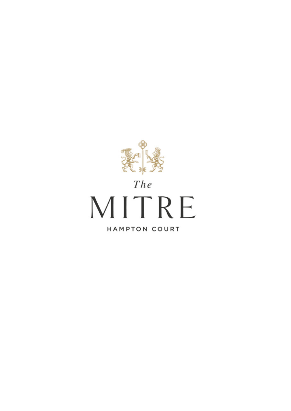

# $The$ MITRE **HAMPTON COURT**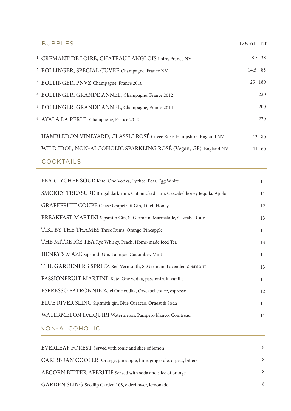| <b>BUBBLES</b>                                                     | $125ml$   btl |
|--------------------------------------------------------------------|---------------|
| <sup>1</sup> CRÉMANT DE LOIRE, CHATEAU LANGLOIS Loire, France NV   | 8.5   38      |
| <sup>2</sup> BOLLINGER, SPECIAL CUVÉE Champagne, France NV         | $14.5$   85   |
| <sup>3</sup> BOLLINGER, PNVZ Champagne, France 2016                | 29   180      |
| <sup>4</sup> BOLLINGER, GRANDE ANNEE, Champagne, France 2012       | 220           |
| <sup>5</sup> BOLLINGER, GRANDE ANNEE, Champagne, France 2014       | 200           |
| <sup>6</sup> AYALA LA PERLE, Champagne, France 2012                | 220           |
| HAMBLEDON VINEYARD, CLASSIC ROSÉ Cuvée Rosé, Hampshire, England NV | 13   80       |
| WILD IDOL, NON-ALCOHOLIC SPARKLING ROSÉ (Vegan, GF), England NV    | 11   60       |
| <b>COCKTAILS</b>                                                   |               |

| PEAR LYCHEE SOUR Ketel One Vodka, Lychee, Pear, Egg White                      | 11 |
|--------------------------------------------------------------------------------|----|
| SMOKEY TREASURE Brugal dark rum, Cut Smoked rum, Cazcabel honey tequila, Apple | 11 |
| GRAPEFRUIT COUPE Chase Grapefruit Gin, Lillet, Honey                           | 12 |
| BREAKFAST MARTINI Sipsmith Gin, St.Germain, Marmalade, Cazcabel Café           | 13 |
| TIKI BY THE THAMES Three Rums, Orange, Pineapple                               | 11 |
| THE MITRE ICE TEA Rye Whisky, Peach, Home-made Iced Tea                        | 13 |
| HENRY'S MAZE Sipsmith Gin, Lanique, Cucumber, Mint                             | 11 |
| THE GARDENER'S SPRITZ Red Vermouth, St. Germain, Lavender, crémant             | 13 |
| PASSIONFRUIT MARTINI Ketel One vodka, passionfruit, vanilla                    | 11 |
| ESPRESSO PATRONNIE Ketel One vodka, Cazcabel coffee, espresso                  | 12 |
| BLUE RIVER SLING Sipsmith gin, Blue Curacao, Orgeat & Soda                     | 11 |
| WATERMELON DAIQUIRI Watermelon, Pampero blanco, Cointreau                      | 11 |
| NON-ALCOHOLIC                                                                  |    |

| EVERLEAF FOREST Served with tonic and slice of lemon                  | 8             |
|-----------------------------------------------------------------------|---------------|
| CARIBBEAN COOLER Orange, pineapple, lime, ginger ale, orgeat, bitters | 8             |
| AECORN BITTER APERITIF Served with soda and slice of orange           | 8             |
| GARDEN SLING Seedlip Garden 108, elderflower, lemonade                | $\mathcal{R}$ |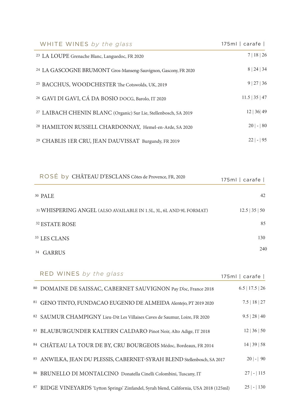| $175ml$   carafe | WHITE WINES by the glass                                                    |
|------------------|-----------------------------------------------------------------------------|
| 7   18   26      | <sup>23</sup> LA LOUPE Grenache Blanc, Languedoc, FR 2020                   |
| 8   24   34      | <sup>24</sup> LA GASCOGNE BRUMONT Gros-Manseng-Sauvignon, Gascony, FR 2020  |
| 9   27   36      | <sup>25</sup> BACCHUS, WOODCHESTER The Cotswolds, UK, 2019                  |
| $11.5$   35   47 | <sup>26</sup> GAVI DI GAVI, CÁ DA BOSIO DOCG, Barolo, IT 2020               |
| 12   36   49     | <sup>27</sup> LAIBACH CHENIN BLANC (Organic) Sur Lie, Stellenbosch, SA 2019 |
| $20$   -   80    | <sup>28</sup> HAMILTON RUSSELL CHARDONNAY, Hemel-en-Arde, SA 2020           |
| $22$   -   95    | <sup>29</sup> CHABLIS 1ER CRU, JEAN DAUVISSAT Burgundy, FR 2019             |

| ROSÉ by CHÂTEAU D'ESCLANS Côtes de Provence, FR, 2020<br>$175ml$   carafe                    |
|----------------------------------------------------------------------------------------------|
| 42                                                                                           |
| 31 WHISPERING ANGEL (ALSO AVAILABLE IN 1.5L, 3L, 6L AND 9L FORMAT)<br>$12.5 \mid 35 \mid 50$ |
| 85<br><sup>32</sup> ESTATE ROSE                                                              |
| 130                                                                                          |
| 240                                                                                          |

| RED WINES by the glass                                                                   | $175ml$   carafe  |
|------------------------------------------------------------------------------------------|-------------------|
| 80 DOMAINE DE SAISSAC, CABERNET SAUVIGNON Pay D'oc, France 2018                          | $6.5$   17.5   26 |
| 81 GENO TINTO, FUNDACAO EUGENIO DE ALMEIDA Alentejo, PT 2019 2020                        | $7.5$   18   27   |
| 82 SAUMUR CHAMPIGNY Lieu-Dit Les Villaises Caves de Saumur, Loire, FR 2020               | 9.5   28   40     |
| 83 BLAUBURGUNDER KALTERN CALDARO Pinot Noir, Alto Adige, IT 2018                         | 12   36   50      |
| 84 CHÂTEAU LA TOUR DE BY, CRU BOURGEOIS Médoc, Bordeaux, FR 2014                         | 14   39   58      |
| 85 ANWILKA, JEAN DU PLESSIS, CABERNET-SYRAH BLEND Stellenbosch, SA 2017                  | $20$   -   90     |
| 86 BRUNELLO DI MONTALCINO Donatella Cinelli Colombini, Tuscany, IT                       | $27$   -   115    |
| 87 RIDGE VINEYARDS 'Lytton Springs' Zinfandel, Syrah blend, California, USA 2018 (125ml) | 130<br>$25$  -    |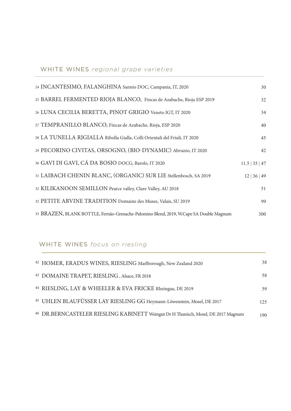| 24 INCANTESIMO, FALANGHINA Sannio DOC, Campania, IT, 2020                              | 30               |
|----------------------------------------------------------------------------------------|------------------|
| 25 BARREL FERMENTED RIOJA BLANCO, Fincas de Azabache, Rioja ESP 2019                   | 32               |
| 26 LUNA CECILIA BERETTA, PINOT GRIGIO Veneto IGT, IT 2020                              | 34               |
| 27 TEMPRANILLO BLANCO, Fincas de Azabache, Rioja, ESP 2020                             | 40               |
| 28 LA TUNELLA RJGIALLA Ribolla Gialla, Colli Orientali del Friuli, IT 2020             | 45               |
| 29 PECORINO CIVITAS, ORSOGNO, (BIO-DYNAMIC) Abruzzo, IT 2020                           | 42               |
| 30 GAVI DI GAVI, CÁ DA BOSIO DOCG, Barolo, IT 2020                                     | $11.5$   35   47 |
| 31 LAIBACH CHENIN BLANC, (ORGANIC) SUR LIE Stellenbosch, SA 2019                       | 12   36   49     |
| 32 KILIKANOON SEMILLON Pearce valley, Clare Valley, AU 2018                            | 51               |
| 32 PETITE ARVINE TRADITION Domaine des Muses, Valais, SU 2019                          | 99               |
| 33 BRAZEN, BLANK BOTTLE, Fernão-Grenache-Palomino Blend, 2019, W.Cape SA Double Magnum | 300              |

# WHITE WINES *focus on riesling*

| <sup>42</sup> HOMER, ERADUS WINES, RIESLING Marlborough, New Zealand 2020                    | 38  |
|----------------------------------------------------------------------------------------------|-----|
| <sup>43</sup> DOMAINE TRAPET, RIESLING, Alsace, FR 2018                                      | 58  |
| <sup>44</sup> RIESLING, LAY & WHEELER & EVA FRICKE Rheingau, DE 2019                         | 59  |
| <sup>45</sup> UHLEN BLAUFÜSSER LAY RIESLING GG Heymann-Löwenstein, Mosel, DE 2017            | 125 |
| <sup>46</sup> DR.BERNCASTELER RIESLING KABINETT Weingut Dr H Thanisch, Mosel, DE 2017 Magnum | 190 |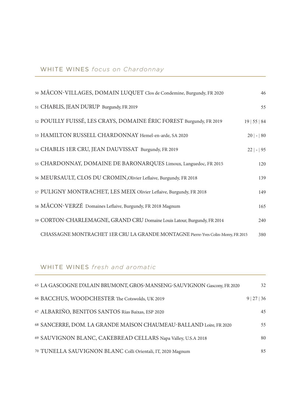| 50 MÂCON-VILLAGES, DOMAIN LUQUET Clos de Condemine, Burgundy, FR 2020            | 46            |
|----------------------------------------------------------------------------------|---------------|
| 51 CHABLIS, JEAN DURUP Burgundy, FR 2019                                         | 55            |
| 52 POUILLY FUISSÉ, LES CRAYS, DOMAINE ÉRIC FOREST Burgundy, FR 2019              | 19   55   84  |
| 53 HAMILTON RUSSELL CHARDONNAY Hemel-en-arde, SA 2020                            | $20$   -   80 |
| 54 CHABLIS 1ER CRU, JEAN DAUVISSAT Burgundy, FR 2019                             | $22$   -   95 |
| 55 CHARDONNAY, DOMAINE DE BARONARQUES Limoux, Languedoc, FR 2015                 | 120           |
| 56 MEURSAULT, CLOS DU CROMIN, Olivier Leflaive, Burgundy, FR 2018                | 139           |
| 57 PULIGNY MONTRACHET, LES MEIX Olivier Leflaive, Burgundy, FR 2018              | 149           |
| 58 MÂCON-VERZÉ Domaines Leflaive, Burgundy, FR 2018 Magnum                       | 165           |
| 59 CORTON-CHARLEMAGNE, GRAND CRU Domaine Louis Latour, Burgundy, FR 2014         | 240           |
| CHASSAGNE MONTRACHET 1ER CRU LA GRANDE MONTAGNE Pierre-Yves Colin-Morey, FR 2015 | 380           |

# WHITE WINES *fresh and aromatic*

| 65 LA GASCOGNE D'ALAIN BRUMONT, GROS-MANSENG-SAUVIGNON Gascony, FR 2020 | 32          |
|-------------------------------------------------------------------------|-------------|
| 66 BACCHUS, WOODCHESTER The Cotswolds, UK 2019                          | 9   27   36 |
| 67 ALBARIÑO, BENITOS SANTOS Rías Baixas, ESP 2020                       | 45          |
| 68 SANCERRE, DOM. LA GRANDE MAISON CHAUMEAU-BALLAND Loire, FR 2020      | 55          |
| 69 SAUVIGNON BLANC, CAKEBREAD CELLARS Napa Valley, U.S.A 2018           | 80          |
| 70 TUNELLA SAUVIGNON BLANC Colli Orientali, IT, 2020 Magnum             | 85          |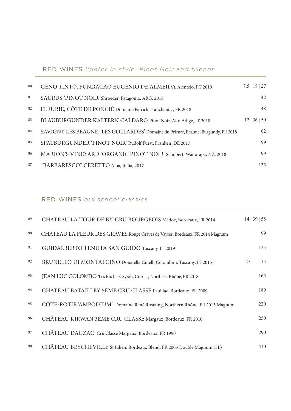# RED WINES *lighter in style: Pinot Noir and friends*

| 80 | GENO TINTO, FUNDACAO EUGENIO DE ALMEIDA Alentejo, PT 2019                         | $7.5$   18   27 |
|----|-----------------------------------------------------------------------------------|-----------------|
| 81 | SAURUS 'PINOT NOIR' Shroeder, Patagonia, ARG, 2018                                | 42              |
| 82 | FLEURIE, CÔTE DE PONCIÉ Domaine Patrick Tranchand, , FR 2018                      | 48              |
| 83 | BLAUBURGUNDER KALTERN CALDARO Pinot Noir, Alto Adige, IT 2018                     | 12   36   50    |
| 84 | SAVIGNY LES BEAUNE, 'LES GOLLARDES' Domaine du Prieuré, Beaune, Burgundy, FR 2018 | 62              |
| 85 | SPÄTBURGUNDER 'PINOT NOIR' Rudolf Fürst, Franken, DE 2017                         | 99              |
| 86 | MARION'S VINEYARD 'ORGANIC PINOT NOIR' Schubert, Wairarapa, NZ, 2018              | 99              |
| 87 | "BARBARESCO" CERETTO Alba, Italia, 2017                                           | 135             |

# RED WINES *old school classics*

| 89 | CHÂTEAU LA TOUR DE BY, CRU BOURGEOIS Médoc, Bordeaux, FR 2014                | 14   39   58   |
|----|------------------------------------------------------------------------------|----------------|
| 90 | CHATEAU LA FLEUR DES GRAVES Rouge Graves de Vayres, Bordeaux, FR 2014 Magnum | 99             |
| 91 | GUIDALBERTO TENUTA SAN GUIDO Tuscany, IT 2019                                | 125            |
| 92 | BRUNELLO DI MONTALCINO Donatella Cinelli Colombini, Tuscany, IT 2015         | $27$   -   115 |
| 93 | JEAN LUC COLOMBO 'Les Ruchets' Syrah, Cornas, Northern Rhône, FR 2018        | 165            |
| 94 | CHÂTEAU BATAILLEY 5ÈME CRU CLASSÉ Pauillac, Bordeaux, FR 2009                | 189            |
| 95 | COTE-ROTIE 'AMPODIUM' Domaine René Rostaing, Northern Rhône, FR 2015 Magnum  | 220            |
| 96 | CHÂTEAU KIRWAN 3ÈME CRU CLASSÉ Margaux, Bordeaux, FR 2010                    | 250            |
| 97 | CHÂTEAU DAUZAC Cru Classé Margaux, Bordeaux, FR 1990                         | 290            |
| 98 | CHÂTEAU BEYCHEVILLE St Julien, Bordeaux Blend, FR 2003 Double Magnum (3L)    | 410            |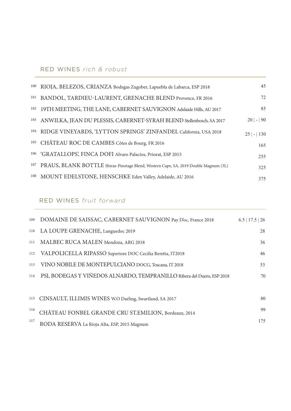| 100 | RIOJA, BELEZOS, CRIANZA Bodegas Zugober, Lapuebla de Labarca, ESP 2018               | 45             |
|-----|--------------------------------------------------------------------------------------|----------------|
| 101 | BANDOL, TARDIEU-LAURENT, GRENACHE BLEND Provence, FR 2016                            | 72             |
| 102 | 19TH MEETING, THE LANE, CABERNET SAUVIGNON Adelaide Hills, AU 2017                   | 85             |
| 103 | ANWILKA, JEAN DU PLESSIS, CABERNET-SYRAH BLEND Stellenbosch, SA 2017                 | $20$  - 90     |
| 104 | RIDGE VINEYARDS, 'LYTTON SPRINGS' ZINFANDEL California, USA 2018                     | $25$   -   130 |
|     | <sup>105</sup> CHÂTEAU ROC DE CAMBES Côtes de Bourg, FR 2016                         | 165            |
|     | <sup>106</sup> 'GRATALLOPS', FINCA DOFI Alvaro Palacios, Priorat, ESP 2015           | 255            |
| 107 | PRAUS, BLANK BOTTLE Shiraz-Pinotage Blend, Western Cape, SA, 2019 Double Magnum (3L) | 325            |
|     | 108 MOUNT EDELSTONE, HENSCHKE Eden Valley, Adelaide, AU 2016                         | 375            |

# RED WINES *fruit forward*

| 109 | DOMAINE DE SAISSAC, CABERNET SAUVIGNON Pay D'oc, France 2018           | $6.5$   17.5   26 |
|-----|------------------------------------------------------------------------|-------------------|
| 110 | LA LOUPE GRENACHE, Languedoc 2019                                      | 28                |
| 111 | MALBEC RUCA MALEN Mendoza, ARG 2018                                    | 36                |
| 112 | VALPOLICELLA RIPASSO Superiore DOC Cecilia Beretta, IT2018             | 46                |
| 113 | VINO NOBILE DE MONTEPULCIANO DOCG, Toscana, IT 2018                    | 53                |
| 114 | PSI, BODEGAS Y VIÑEDOS ALNARDO, TEMPRANILLO Ribera del Duero, ESP 2018 | 70                |
|     |                                                                        |                   |
|     | 115 CINSAULT, ILLIMIS WINES W.O Darling, Swartland, SA 2017            | 80                |
| 116 | CHÂTEAU FONBEL GRANDE CRU ST.EMILION, Bordeaux, 2014                   | 99                |
| 117 | RODA RESERVA La Rioja Alta, ESP, 2015 Magnum                           | 175               |
|     |                                                                        |                   |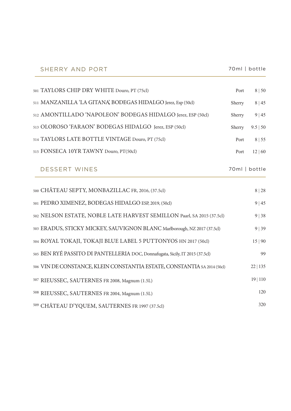| SHERRY AND PORT                                                               | 70ml   bottle |               |
|-------------------------------------------------------------------------------|---------------|---------------|
| 501 TAYLORS CHIP DRY WHITE Douro, PT (75cl)                                   | Port          | 8   50        |
| 511 MANZANILLA 'LA GITANA', BODEGAS HIDALGO Jerez, Esp (50cl)                 | Sherry        | 8 45          |
| 512 AMONTILLADO 'NAPOLEON' BODEGAS HIDALGO Jerez, ESP (50cl)                  | Sherry        | 9 45          |
| 513 OLOROSO 'FARAON' BODEGAS HIDALGO Jerez, ESP (50cl)                        | Sherry        | 9.5   50      |
| 514 TAYLORS LATE BOTTLE VINTAGE Douro, PT (75cl)                              | Port          | 8   55        |
| 515 FONSECA 10YR TAWNY Douro, PT(50cl)                                        | Port          | 12   60       |
| <b>DESSERT WINES</b>                                                          |               | 70ml   bottle |
| 500 CHÂTEAU SEPTY, MONBAZILLAC FR, 2016, (37.5cl)                             |               | 8 28          |
| 501 PEDRO XIMENEZ, BODEGAS HIDALGO ESP, 2019, (50cl)                          |               | 9   45        |
| 502 NELSON ESTATE, NOBLE LATE HARVEST SEMILLON Paarl, SA 2015 (37.5cl)        |               | 9   38        |
| 503 ERADUS, STICKY MICKEY, SAUVIGNON BLANC Marlborough, NZ 2017 (37.5cl)      |               | 9 39          |
| 504 ROYAL TOKAJI, TOKAJI BLUE LABEL 5 PUTTONYOS HN 2017 (50cl)                |               | 15 90         |
| 505 BEN RYÉ PASSITO DI PANTELLERIA DOC, Donnafugata, Sicily, IT 2015 (37.5cl) |               | 99            |
| 506 VIN DE CONSTANCE, KLEIN CONSTANTIA ESTATE, CONSTANTIA SA 2014 (50cl)      |               | 22 135        |
| <sup>507</sup> RIEUSSEC, SAUTERNES FR 2008, Magnum (1.5L)                     |               | 19 110        |
| 508 RIEUSSEC, SAUTERNES FR 2004, Magnum (1.5L)                                |               | 120           |
| 509 CHÂTEAU D'YQUEM, SAUTERNES FR 1997 (37.5cl)                               |               | 320           |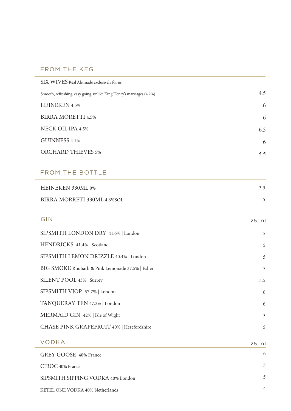## FROM THE KEG

| SIX WIVES Real Ale made exclusively for us.                          |       |
|----------------------------------------------------------------------|-------|
| Smooth, refreshing, easy going, unlike King Henry's marriages (4.2%) | 4.5   |
| <b>HEINEKEN 4.5%</b>                                                 | 6     |
| <b>BIRRA MORETTI 4.5%</b>                                            | 6     |
| NECK OIL IPA 4.5%                                                    | 6.5   |
| GUINNESS 4.1%                                                        | 6     |
| <b>ORCHARD THIEVES 5%</b>                                            | 5.5   |
|                                                                      |       |
| <b>FROM THE BOTTLE</b>                                               |       |
| HEINEKEN 330ML 0%                                                    | 3.5   |
| BIRRA MORRETI 330ML 4.6%SOL                                          | 5     |
|                                                                      |       |
| GIN                                                                  | 25 ml |
| SIPSMITH LONDON DRY 41.6%   London                                   | 5     |
| HENDRICKS 41.4%   Scotland                                           | 5     |
| SIPSMITH LEMON DRIZZLE 40.4%   London                                | 5     |
| BIG SMOKE Rhubarb & Pink Lemonade 37.5%   Esher                      | 5     |
| SILENT POOL 43%   Surrey                                             | 5.5   |
| SIPSMITH VJOP 57.7%   London                                         | 6     |
| TANQUERAY TEN 47.3%   London                                         | 6     |
| MERMAID GIN 42%   Isle of Wight                                      | 5     |
| CHASE PINK GRAPEFRUIT 40%   Herefordshire                            | 5     |
| <b>VODKA</b>                                                         | 25 ml |
| GREY GOOSE 40% France                                                | 6     |
| CIROC 40% France                                                     | 5     |
| SIPSMITH SIPPING VODKA 40% London                                    | 5     |
| KETEL ONE VODKA 40% Netherlands                                      | 4     |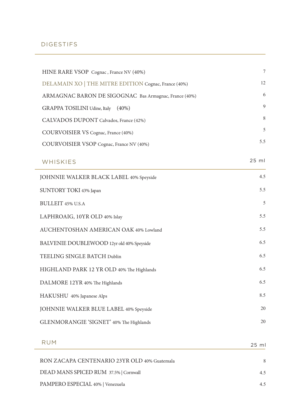### DIGESTIFS

| HINE RARE VSOP Cognac, France NV (40%)                | $\sqrt{ }$ |
|-------------------------------------------------------|------------|
| DELAMAIN XO   THE MITRE EDITION Cognac, France (40%)  | 12         |
| ARMAGNAC BARON DE SIGOGNAC Bas Armagnac, France (40%) | 6          |
| GRAPPA TOSILINI Udine, Italy (40%)                    | 9          |
| CALVADOS DUPONT Calvados, France (42%)                | 8          |
| COURVOISIER VS Cognac, France (40%)                   | 5          |
| COURVOISIER VSOP Cognac, France NV (40%)              | 5.5        |
| WHISKIES                                              | $25$ ml    |
| JOHNNIE WALKER BLACK LABEL 40% Speyside               | 4.5        |
| SUNTORY TOKI 43% Japan                                | 5.5        |
| <b>BULLEIT 45% U.S.A</b>                              | 5          |
| LAPHROAIG, 10YR OLD 40% Islay                         | 5.5        |
| AUCHENTOSHAN AMERICAN OAK 40% Lowland                 | 5.5        |
| BALVENIE DOUBLEWOOD 12yr old 40% Speyside             | 6.5        |
| TEELING SINGLE BATCH Dublin                           | 6.5        |
| HIGHLAND PARK 12 YR OLD 40% The Highlands             | 6.5        |
| DALMORE 12YR 40% The Highlands                        | 6.5        |
| HAKUSHU 40% Japanese Alps                             | 8.5        |
| JOHNNIE WALKER BLUE LABEL 40% Speyside                | 20         |
| GLENMORANGIE 'SIGNET' 40% The Highlands               | 20         |
| <b>RUM</b>                                            | 25 ml      |
| RON ZACAPA CENTENARIO 23YR OLD 40% Guatemala          | 8          |
| DEAD MANS SPICED RUM 37.5%   Cornwall                 | 4.5        |
| PAMPERO ESPECIAL 40%   Venezuela                      | 4.5        |
|                                                       |            |